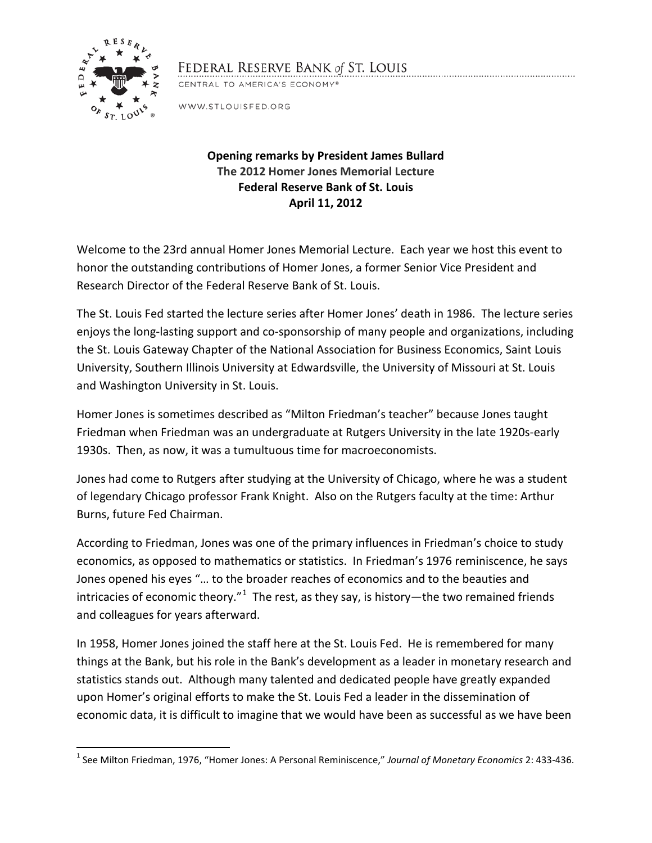

## FEDERAL RESERVE BANK of ST. LOUIS

CENTRAL TO AMERICA'S ECONOMY®

WWW.STLOUISFED.ORG

## **Opening remarks by President James Bullard The 2012 Homer Jones Memorial Lecture Federal Reserve Bank of St. Louis April 11, 2012**

Welcome to the 23rd annual Homer Jones Memorial Lecture. Each year we host this event to honor the outstanding contributions of Homer Jones, a former Senior Vice President and Research Director of the Federal Reserve Bank of St. Louis.

The St. Louis Fed started the lecture series after Homer Jones' death in 1986. The lecture series enjoys the long-lasting support and co-sponsorship of many people and organizations, including the St. Louis Gateway Chapter of the National Association for Business Economics, Saint Louis University, Southern Illinois University at Edwardsville, the University of Missouri at St. Louis and Washington University in St. Louis.

Homer Jones is sometimes described as "Milton Friedman's teacher" because Jones taught Friedman when Friedman was an undergraduate at Rutgers University in the late 1920s-early 1930s. Then, as now, it was a tumultuous time for macroeconomists.

Jones had come to Rutgers after studying at the University of Chicago, where he was a student of legendary Chicago professor Frank Knight. Also on the Rutgers faculty at the time: Arthur Burns, future Fed Chairman.

According to Friedman, Jones was one of the primary influences in Friedman's choice to study economics, as opposed to mathematics or statistics. In Friedman's 1976 reminiscence, he says Jones opened his eyes "… to the broader reaches of economics and to the beauties and intricacies of economic theory." $1$  The rest, as they say, is history—the two remained friends and colleagues for years afterward.

In 1958, Homer Jones joined the staff here at the St. Louis Fed. He is remembered for many things at the Bank, but his role in the Bank's development as a leader in monetary research and statistics stands out. Although many talented and dedicated people have greatly expanded upon Homer's original efforts to make the St. Louis Fed a leader in the dissemination of economic data, it is difficult to imagine that we would have been as successful as we have been

<span id="page-0-0"></span> <sup>1</sup> See Milton Friedman, 1976, "Homer Jones: A Personal Reminiscence," *Journal of Monetary Economics* 2: 433-436.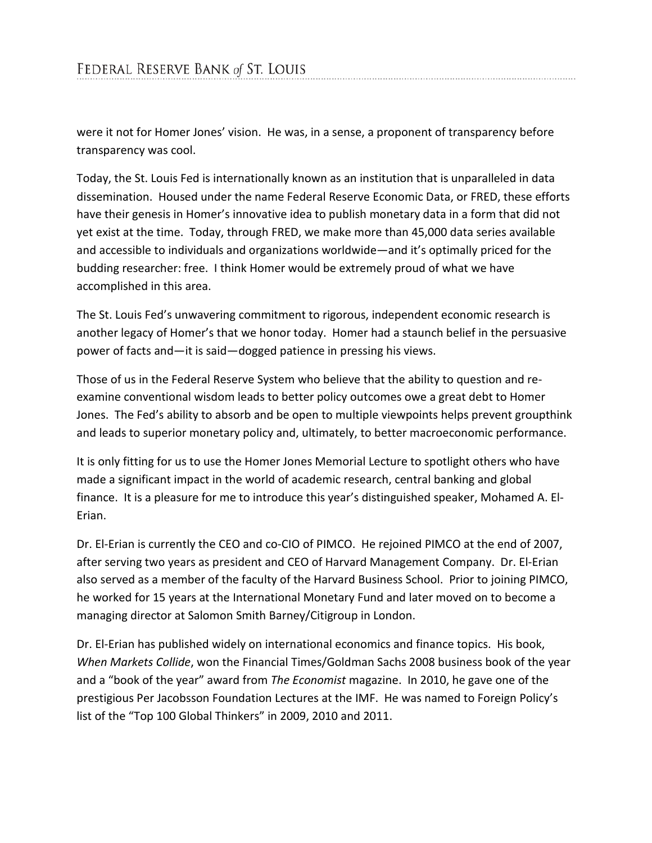were it not for Homer Jones' vision. He was, in a sense, a proponent of transparency before transparency was cool.

Today, the St. Louis Fed is internationally known as an institution that is unparalleled in data dissemination. Housed under the name Federal Reserve Economic Data, or FRED, these efforts have their genesis in Homer's innovative idea to publish monetary data in a form that did not yet exist at the time. Today, through FRED, we make more than 45,000 data series available and accessible to individuals and organizations worldwide—and it's optimally priced for the budding researcher: free. I think Homer would be extremely proud of what we have accomplished in this area.

The St. Louis Fed's unwavering commitment to rigorous, independent economic research is another legacy of Homer's that we honor today. Homer had a staunch belief in the persuasive power of facts and—it is said—dogged patience in pressing his views.

Those of us in the Federal Reserve System who believe that the ability to question and reexamine conventional wisdom leads to better policy outcomes owe a great debt to Homer Jones. The Fed's ability to absorb and be open to multiple viewpoints helps prevent groupthink and leads to superior monetary policy and, ultimately, to better macroeconomic performance.

It is only fitting for us to use the Homer Jones Memorial Lecture to spotlight others who have made a significant impact in the world of academic research, central banking and global finance. It is a pleasure for me to introduce this year's distinguished speaker, Mohamed A. El-Erian.

Dr. El-Erian is currently the CEO and co-CIO of PIMCO. He rejoined PIMCO at the end of 2007, after serving two years as president and CEO of Harvard Management Company. Dr. El-Erian also served as a member of the faculty of the Harvard Business School. Prior to joining PIMCO, he worked for 15 years at the International Monetary Fund and later moved on to become a managing director at Salomon Smith Barney/Citigroup in London.

Dr. El-Erian has published widely on international economics and finance topics. His book, *When Markets Collide*, won the Financial Times/Goldman Sachs 2008 business book of the year and a "book of the year" award from *The Economist* magazine. In 2010, he gave one of the prestigious Per Jacobsson Foundation Lectures at the IMF. He was named to Foreign Policy's list of the "Top 100 Global Thinkers" in 2009, 2010 and 2011.